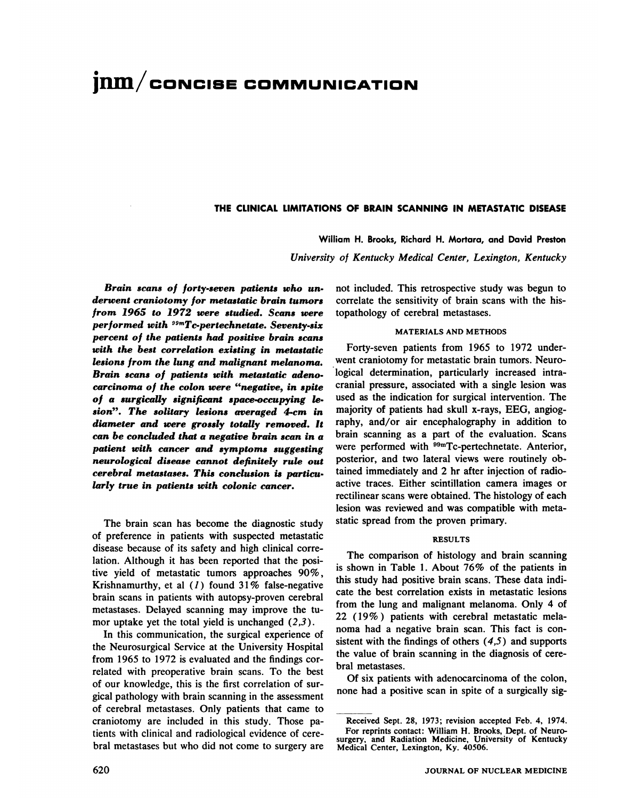# **jnin/coNcIsE COMMUNICATION**

## . THE CLINICAL LIMITATIONS OF BRAIN SCANNING IN METASTATIC DISEASE

William H. Brooks, Richard H. Mortara, and David Preston

*University of Kentucky Medical Cenier, Lexington, Kentucky*

*Brain scans of forty-seven patients who un derwent craniotomy for metastatic brain tumors from 1965 to 1972 were studied. Scans were performed with stmTc@pertechnetate. Seventy-six percent of the patients had positive brain scans with the best correlation existing in metastatic lesions from the lung and malignant melanoma. Brain scans of patients with metastatic adeno carcinoma of the colon were "negative, in spite of a surgically significant space-occupying le sion―. The solitary lesions averaged 4-cm in diameter and were grossly totally removed. It can be concluded that a negative brain scan in a patient with cancer and symptoms suggesting neurological disease cannot definitely rule out cerebral metastases. This conclusion is particu larly true in patients with colonic cancer.*

The brain scan has become the diagnostic study of preference in patients with suspected metastatic disease because of its safety and high clinical corre lation. Although it has been reported that the posi tive yield of metastatic tumors approaches 90%, Krishnamurthy, et al  $(1)$  found 31% false-negative brain scans in patients with autopsy-proven cerebral metastases. Delayed scanning may improve the tu mor uptake yet the total yield is unchanged  $(2,3)$ .

In this communication, the surgical experience of the Neurosurgical Service at the University Hospital from 1965 to 1972 is evaluated and the findings cor related with preoperative brain scans. To the best of our knowledge, this is the first correlation of sur gical pathology with brain scanning in the assessment of cerebral metastases. Only patients that came to craniotomy are included in this study. Those pa tients with clinical and radiological evidence of cere bral metastases but who did not come to surgery are

not included. This retrospective study was begun to correlate the sensitivity of brain scans with the his topathology of cerebral metastases.

### MATERIALS AND METHODS

Forty-seven patients from 1965 to 1972 under went craniotomy for metastatic brain tumors. Neuro logical determination, particularly increased intra cranial pressure, associated with a single lesion was used as the indication for surgical intervention. The majority of patients had skull x-rays, EEG, angiog raphy, and/or air encephalography in addition to brain scanning as a part of the evaluation. Scans were performed with <sup>99m</sup>Tc-pertechnetate. Anterior, posterior, and two lateral views were routinely ob tamed immediately and 2 hr after injection of radio active traces. Either scintillation camera images or rectilinear scans were obtained. The histology of each lesion was reviewed and was compatible with meta static spread from the proven primary.

## **RESULTS**

The comparison of histology and brain scanning is shown in Table 1. About  $76\%$  of the patients in this study had positive brain scans. These data mdi cate the best correlation exists in metastatic lesions from the lung and malignant melanoma. Only 4 of 22 (19% ) patients with cerebral metastatic mela noma had a negative brain scan. This fact is con sistent with the findings of others  $(4,5)$  and supports the value of brain scanning in the diagnosis of cere bral metastases.

Of six patients with adenocarcinoma of the colon, none had a positive scan in spite of a surgically sig

Received Sept. 28, 1973; revision accepted Feb. 4, 1974. For reprints contact: William H. Brooks, Dept. of Neuro surgery, and Radiation Medicine, University of Kentucky Medical Center, Lexington, Ky. 40506.